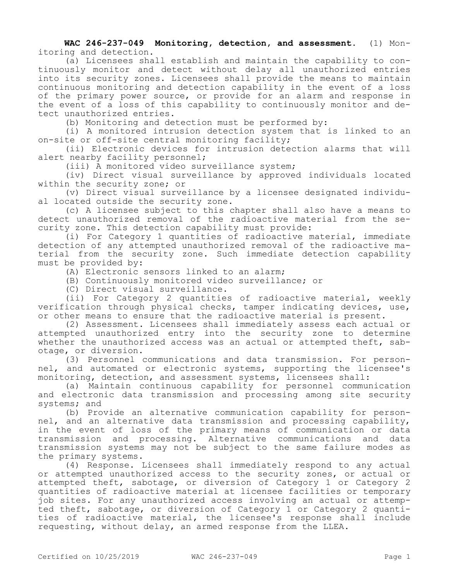**WAC 246-237-049 Monitoring, detection, and assessment.** (1) Monitoring and detection.

(a) Licensees shall establish and maintain the capability to continuously monitor and detect without delay all unauthorized entries into its security zones. Licensees shall provide the means to maintain continuous monitoring and detection capability in the event of a loss of the primary power source, or provide for an alarm and response in the event of a loss of this capability to continuously monitor and detect unauthorized entries.

(b) Monitoring and detection must be performed by:

(i) A monitored intrusion detection system that is linked to an on-site or off-site central monitoring facility;

(ii) Electronic devices for intrusion detection alarms that will alert nearby facility personnel;

(iii) A monitored video surveillance system;

(iv) Direct visual surveillance by approved individuals located within the security zone; or

(v) Direct visual surveillance by a licensee designated individual located outside the security zone.

(c) A licensee subject to this chapter shall also have a means to detect unauthorized removal of the radioactive material from the security zone. This detection capability must provide:

(i) For Category 1 quantities of radioactive material, immediate detection of any attempted unauthorized removal of the radioactive material from the security zone. Such immediate detection capability must be provided by:

(A) Electronic sensors linked to an alarm;

(B) Continuously monitored video surveillance; or

(C) Direct visual surveillance.

(ii) For Category 2 quantities of radioactive material, weekly verification through physical checks, tamper indicating devices, use, or other means to ensure that the radioactive material is present.

(2) Assessment. Licensees shall immediately assess each actual or attempted unauthorized entry into the security zone to determine whether the unauthorized access was an actual or attempted theft, sabotage, or diversion.

(3) Personnel communications and data transmission. For personnel, and automated or electronic systems, supporting the licensee's monitoring, detection, and assessment systems, licensees shall:

(a) Maintain continuous capability for personnel communication and electronic data transmission and processing among site security systems; and

(b) Provide an alternative communication capability for personnel, and an alternative data transmission and processing capability, in the event of loss of the primary means of communication or data transmission and processing. Alternative communications and data transmission systems may not be subject to the same failure modes as the primary systems.

(4) Response. Licensees shall immediately respond to any actual or attempted unauthorized access to the security zones, or actual or attempted theft, sabotage, or diversion of Category 1 or Category 2 quantities of radioactive material at licensee facilities or temporary job sites. For any unauthorized access involving an actual or attempted theft, sabotage, or diversion of Category 1 or Category 2 quantities of radioactive material, the licensee's response shall include requesting, without delay, an armed response from the LLEA.